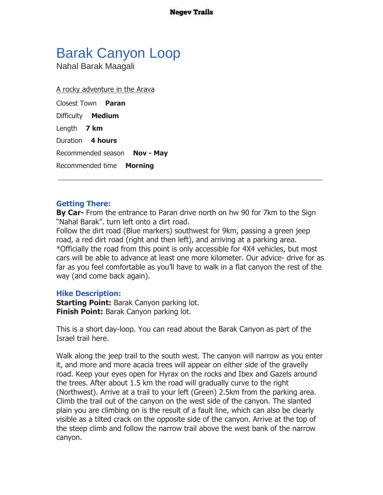**Negev Trails** 

## Barak Canyon Loop

Nahal Barak Maagali

A rocky adventure in the Arava

Closest Town **Paran** Difficulty **Medium** Length **7 km** Duration **4 hours** Recommended season **Nov - May** Recommended time **Morning**

## **Getting There:**

**By Car-** From the entrance to Paran drive north on hw 90 for 7km to the Sign "Nahal Barak". turn left onto a dirt road.

Follow the dirt road (Blue markers) southwest for 9km, passing a green jeep road, a red dirt road (right and then left), and arriving at a parking area. \*Officially the road from this point is only accessible for 4X4 vehicles, but most cars will be able to advance at least one more kilometer. Our advice- drive for as far as you feel comfortable as you'll have to walk in a flat canyon the rest of the way (and come back again).

## **Hike Description:**

**Starting Point:** Barak Canyon parking lot. **Finish Point:** Barak Canyon parking lot.

This is a short day-loop. You can read about the Barak Canyon as part of the Israel trail here.

Walk along the jeep trail to the south west. The canyon will narrow as you enter it, and more and more acacia trees will appear on either side of the gravelly road. Keep your eyes open for Hyrax on the rocks and Ibex and Gazels around the trees. After about 1.5 km the road will gradually curve to the right (Northwest). Arrive at a trail to your left (Green) 2.5km from the parking area. Climb the trail out of the canyon on the west side of the canyon. The slanted plain you are climbing on is the result of a fault line, which can also be clearly visible as a tilted crack on the opposite side of the canyon. Arrive at the top of the steep climb and follow the narrow trail above the west bank of the narrow canyon.